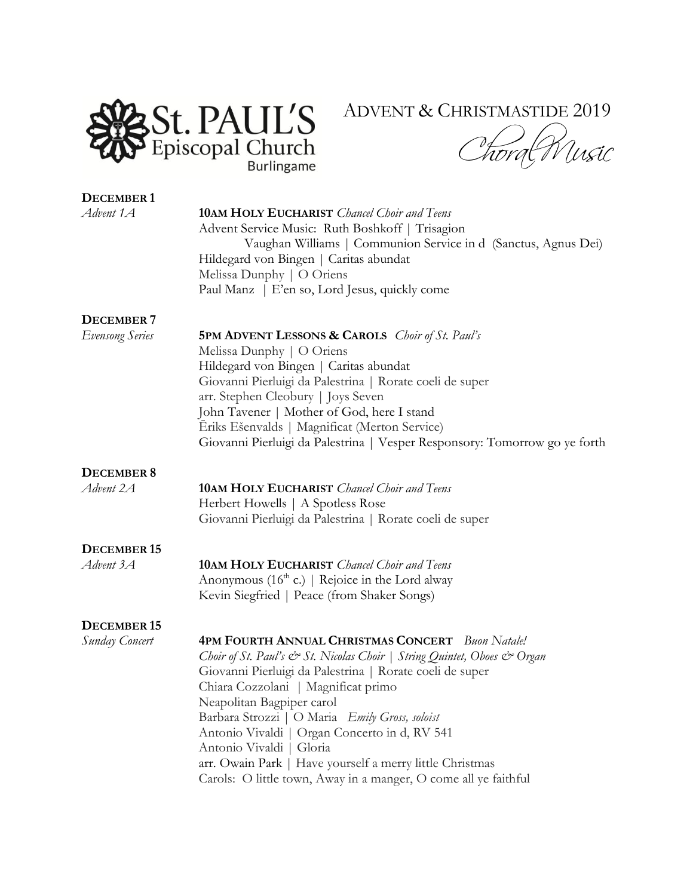

## ADVENT & CHRISTMASTIDE 2019

Twrd Wusic

| <b>DECEMBER1</b><br>Advent 1A        | <b>10AM HOLY EUCHARIST</b> Chancel Choir and Teens<br>Advent Service Music: Ruth Boshkoff   Trisagion<br>Vaughan Williams   Communion Service in d (Sanctus, Agnus Dei)<br>Hildegard von Bingen   Caritas abundat<br>Melissa Dunphy   O Oriens<br>Paul Manz   E'en so, Lord Jesus, quickly come                                                                                                                                                                                                                                  |
|--------------------------------------|----------------------------------------------------------------------------------------------------------------------------------------------------------------------------------------------------------------------------------------------------------------------------------------------------------------------------------------------------------------------------------------------------------------------------------------------------------------------------------------------------------------------------------|
| DECEMBER 7<br><b>Evensong Series</b> | <b>5PM ADVENT LESSONS &amp; CAROLS</b> <i>Choir of St. Paul's</i>                                                                                                                                                                                                                                                                                                                                                                                                                                                                |
|                                      | Melissa Dunphy   O Oriens<br>Hildegard von Bingen   Caritas abundat<br>Giovanni Pierluigi da Palestrina   Rorate coeli de super<br>arr. Stephen Cleobury   Joys Seven<br>John Tavener   Mother of God, here I stand                                                                                                                                                                                                                                                                                                              |
|                                      | Eriks Ešenvalds   Magnificat (Merton Service)<br>Giovanni Pierluigi da Palestrina   Vesper Responsory: Tomorrow go ye forth                                                                                                                                                                                                                                                                                                                                                                                                      |
| <b>DECEMBER 8</b><br>Advent 2A       | <b>10AM HOLY EUCHARIST</b> Chancel Choir and Teens<br>Herbert Howells   A Spotless Rose<br>Giovanni Pierluigi da Palestrina   Rorate coeli de super                                                                                                                                                                                                                                                                                                                                                                              |
| <b>DECEMBER 15</b><br>Advent 3A      | <b>10AM HOLY EUCHARIST</b> Chancel Choir and Teens<br>Anonymous ( $16th$ c.)   Rejoice in the Lord alway<br>Kevin Siegfried   Peace (from Shaker Songs)                                                                                                                                                                                                                                                                                                                                                                          |
| <b>DECEMBER 15</b><br>Sunday Concert | <b>4PM FOURTH ANNUAL CHRISTMAS CONCERT</b> Buon Natale!<br>Choir of St. Paul's & St. Nicolas Choir   String Quintet, Oboes & Organ<br>Giovanni Pierluigi da Palestrina   Rorate coeli de super<br>Chiara Cozzolani   Magnificat primo<br>Neapolitan Bagpiper carol<br>Barbara Strozzi   O Maria Emily Gross, soloist<br>Antonio Vivaldi   Organ Concerto in d, RV 541<br>Antonio Vivaldi   Gloria<br>arr. Owain Park   Have yourself a merry little Christmas<br>Carols: O little town, Away in a manger, O come all ye faithful |